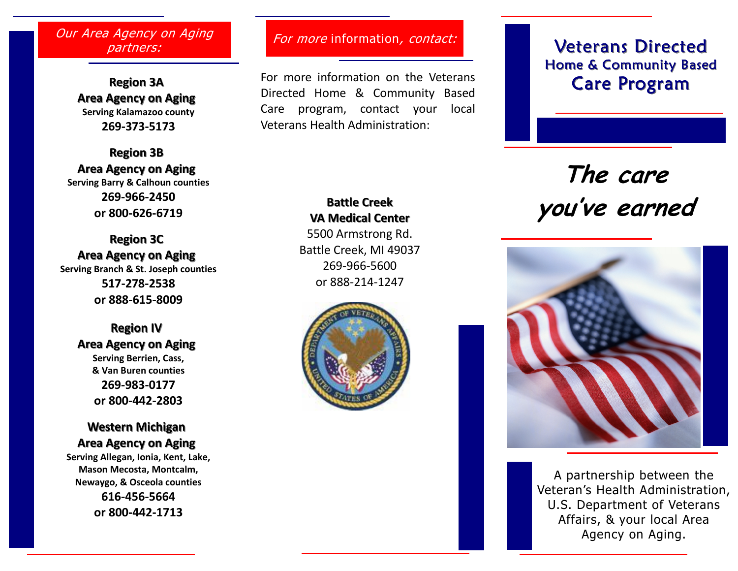#### Our Area Agency on Aging partners:

Region 3A Area Agency on Aging Serving Kalamazoo county 269-373-5173

Region 3B Area Agency on Aging Serving Barry & Calhoun counties 269-966-2450 or 800-626-6719

Region 3C Area Agency on Aging Serving Branch & St. Joseph counties 517-278-2538 or 888-615-8009

> Region IV Area Agency on AgingServing Berrien, Cass, & Van Buren counties 269-983-0177 or 800-442-2803

> Western Michigan Area Agency on Aging

Serving Allegan, Ionia, Kent, Lake, Mason Mecosta, Montcalm, Newaygo, & Osceola counties 616-456-5664 or 800-442-1713

#### For more information, contact:

For more information on the Veterans Directed Home & Community Based Care program, contact your local Veterans Health Administration:

# **Veterans Directed** Home & Community Based Care Program

# The care you've earned



A partnership between the Veteran's Health Administration, U.S. Department of Veterans Affairs, & your local Area Agency on Aging.

# Battle Creek VA Medical Center

5500 Armstrong Rd. Battle Creek, MI 49037 269-966-5600 or 888-214-1247